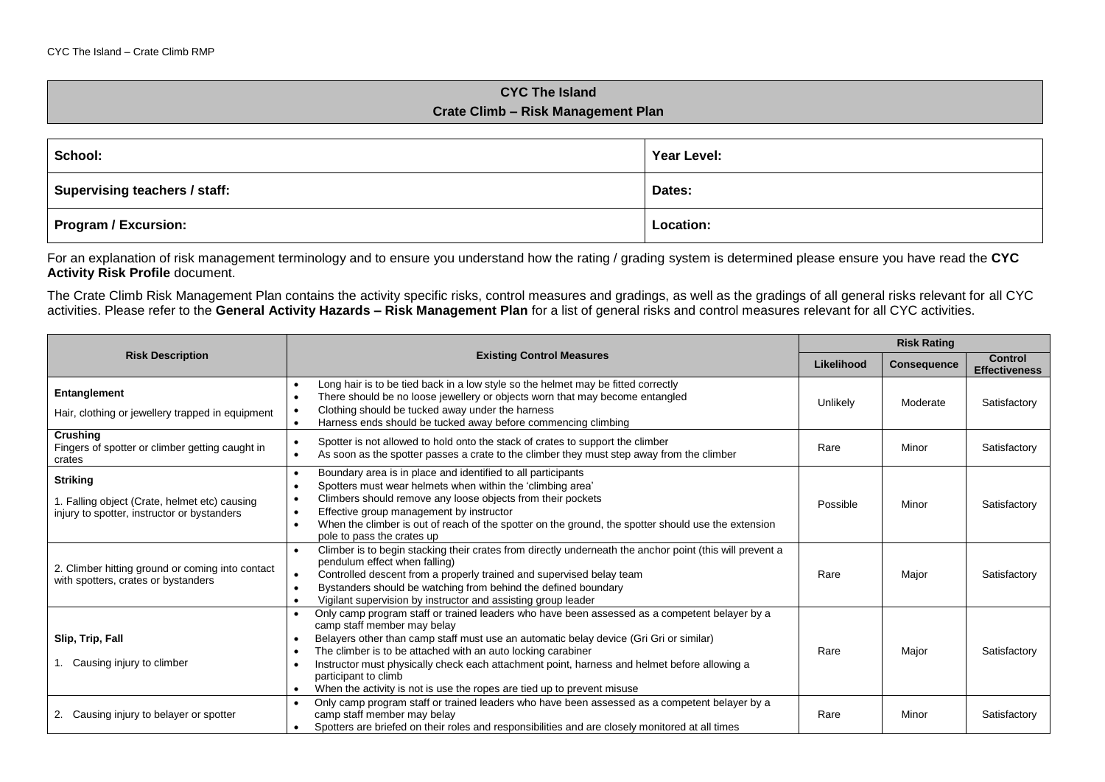## **CYC The Island Crate Climb – Risk Management Plan**

| School:                              | Year Level: |  |
|--------------------------------------|-------------|--|
| <b>Supervising teachers / staff:</b> | Dates:      |  |
| Program / Excursion:                 | Location:   |  |

For an explanation of risk management terminology and to ensure you understand how the rating / grading system is determined please ensure you have read the **CYC Activity Risk Profile** document.

The Crate Climb Risk Management Plan contains the activity specific risks, control measures and gradings, as well as the gradings of all general risks relevant for all CYC activities. Please refer to the **General Activity Hazards – Risk Management Plan** for a list of general risks and control measures relevant for all CYC activities.

|                                                                                                                 | <b>Existing Control Measures</b>                                                                                                                                                                                                                                                                                                                                                                                                                                                                                                 |          | <b>Risk Rating</b> |                                 |  |
|-----------------------------------------------------------------------------------------------------------------|----------------------------------------------------------------------------------------------------------------------------------------------------------------------------------------------------------------------------------------------------------------------------------------------------------------------------------------------------------------------------------------------------------------------------------------------------------------------------------------------------------------------------------|----------|--------------------|---------------------------------|--|
| <b>Risk Description</b>                                                                                         |                                                                                                                                                                                                                                                                                                                                                                                                                                                                                                                                  |          | <b>Consequence</b> | Control<br><b>Effectiveness</b> |  |
| Entanglement<br>Hair, clothing or jewellery trapped in equipment                                                | Long hair is to be tied back in a low style so the helmet may be fitted correctly<br>There should be no loose jewellery or objects worn that may become entangled<br>$\bullet$<br>Clothing should be tucked away under the harness<br>Harness ends should be tucked away before commencing climbing                                                                                                                                                                                                                              | Unlikely | Moderate           | Satisfactory                    |  |
| <b>Crushing</b><br>Fingers of spotter or climber getting caught in<br>crates                                    | Spotter is not allowed to hold onto the stack of crates to support the climber<br>$\bullet$<br>As soon as the spotter passes a crate to the climber they must step away from the climber<br>$\bullet$                                                                                                                                                                                                                                                                                                                            | Rare     | Minor              | Satisfactory                    |  |
| <b>Striking</b><br>1. Falling object (Crate, helmet etc) causing<br>injury to spotter, instructor or bystanders | Boundary area is in place and identified to all participants<br>$\bullet$<br>Spotters must wear helmets when within the 'climbing area'<br>$\bullet$<br>Climbers should remove any loose objects from their pockets<br>$\bullet$<br>Effective group management by instructor<br>$\bullet$<br>When the climber is out of reach of the spotter on the ground, the spotter should use the extension<br>$\bullet$<br>pole to pass the crates up                                                                                      | Possible | Minor              | Satisfactory                    |  |
| 2. Climber hitting ground or coming into contact<br>with spotters, crates or bystanders                         | Climber is to begin stacking their crates from directly underneath the anchor point (this will prevent a<br>pendulum effect when falling)<br>Controlled descent from a properly trained and supervised belay team<br>$\bullet$<br>Bystanders should be watching from behind the defined boundary<br>$\bullet$<br>Vigilant supervision by instructor and assisting group leader<br>$\bullet$                                                                                                                                      | Rare     | Major              | Satisfactory                    |  |
| Slip, Trip, Fall<br>1. Causing injury to climber                                                                | Only camp program staff or trained leaders who have been assessed as a competent belayer by a<br>camp staff member may belay<br>Belayers other than camp staff must use an automatic belay device (Gri Gri or similar)<br>$\bullet$<br>The climber is to be attached with an auto locking carabiner<br>$\bullet$<br>Instructor must physically check each attachment point, harness and helmet before allowing a<br>participant to climb<br>When the activity is not is use the ropes are tied up to prevent misuse<br>$\bullet$ | Rare     | Major              | Satisfactory                    |  |
| 2. Causing injury to belayer or spotter                                                                         | Only camp program staff or trained leaders who have been assessed as a competent belayer by a<br>$\bullet$<br>camp staff member may belay<br>Spotters are briefed on their roles and responsibilities and are closely monitored at all times<br>$\bullet$                                                                                                                                                                                                                                                                        | Rare     | Minor              | Satisfactory                    |  |